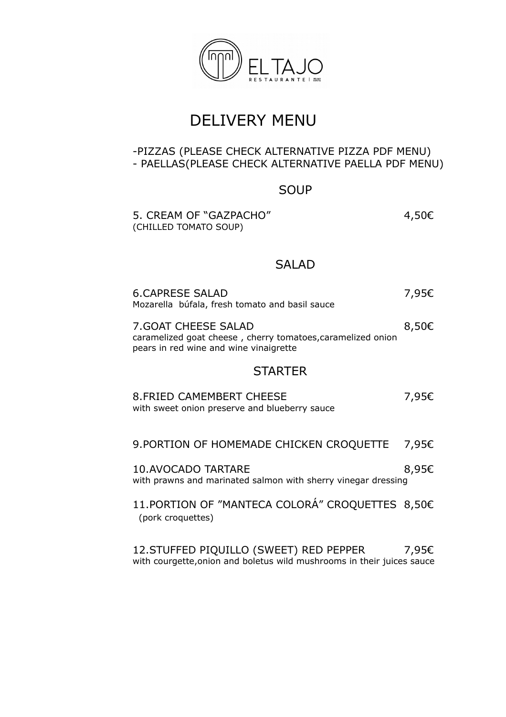

# DELIVERY MENU

#### -PIZZAS (PLEASE CHECK ALTERNATIVE PIZZA PDF MENU) - PAELLAS(PLEASE CHECK ALTERNATIVE PAELLA PDF MENU)

### SOUP

5. CREAM OF "GAZPACHO" 4,50€ (CHILLED TOMATO SOUP)

### SALAD

| <b>6.CAPRESE SALAD</b><br>Mozarella búfala, fresh tomato and basil sauce                                                      | 7,95€ |  |
|-------------------------------------------------------------------------------------------------------------------------------|-------|--|
| 7. GOAT CHEESE SALAD<br>caramelized goat cheese, cherry tomatoes, caramelized onion<br>pears in red wine and wine vinaigrette | 8,50€ |  |
| <b>STARTER</b>                                                                                                                |       |  |
| <b>8. FRIED CAMEMBERT CHEESE</b><br>with sweet onion preserve and blueberry sauce                                             | 7,95€ |  |
| 9. PORTION OF HOMEMADE CHICKEN CROQUETTE                                                                                      | 7,95€ |  |
| <b>10.AVOCADO TARTARE</b><br>with prawns and marinated salmon with sherry vinegar dressing                                    | 8,95€ |  |
| 11. PORTION OF "MANTECA COLORÁ" CROQUETTES 8,50€<br>(pork croquettes)                                                         |       |  |
| 12. STUFFED PIQUILLO (SWEET) RED PEPPER<br>with courgette, onion and boletus wild mushrooms in their juices sauce             | 7,95€ |  |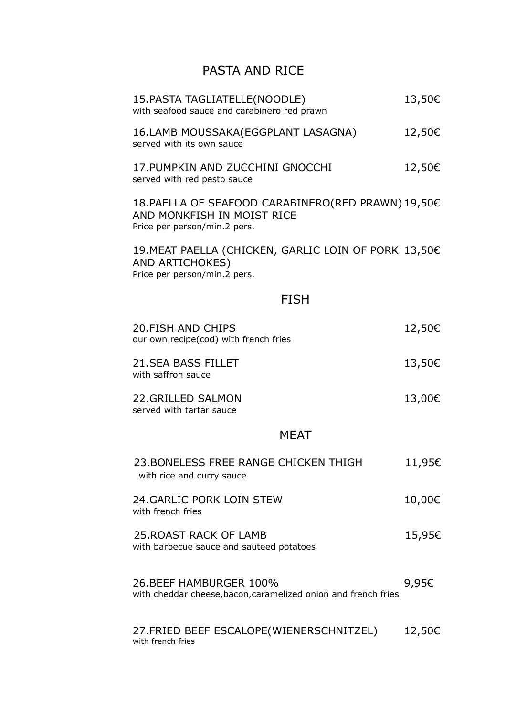## PASTA AND RICE

| 15. PASTA TAGLIATELLE (NOODLE)<br>with seafood sauce and carabinero red prawn                                    | 13,50€ |
|------------------------------------------------------------------------------------------------------------------|--------|
| 16.LAMB MOUSSAKA(EGGPLANT LASAGNA)<br>served with its own sauce                                                  | 12,50€ |
| 17. PUMPKIN AND ZUCCHINI GNOCCHI<br>served with red pesto sauce                                                  | 12,50€ |
| 18. PAELLA OF SEAFOOD CARABINERO(RED PRAWN) 19,50€<br>AND MONKFISH IN MOIST RICE<br>Price per person/min.2 pers. |        |
| 19. MEAT PAELLA (CHICKEN, GARLIC LOIN OF PORK 13,50€<br>AND ARTICHOKES)<br>Price per person/min.2 pers.          |        |
| <b>FISH</b>                                                                                                      |        |
| <b>20.FISH AND CHIPS</b><br>our own recipe(cod) with french fries                                                | 12,50€ |
| <b>21.SEA BASS FILLET</b><br>with saffron sauce                                                                  | 13,50€ |
| 22. GRILLED SALMON<br>served with tartar sauce                                                                   | 13,00€ |
| <b>MFAT</b>                                                                                                      |        |
| 23. BONELESS FREE RANGE CHICKEN THIGH<br>with rice and curry sauce                                               | 11,95€ |
| 24. GARLIC PORK LOIN STEW<br>with french fries                                                                   | 10,00€ |
| <b>25. ROAST RACK OF LAMB</b><br>with barbecue sauce and sauteed potatoes                                        | 15,95€ |
| 26. BEEF HAMBURGER 100%<br>with cheddar cheese, bacon, caramelized onion and french fries                        | 9,95€  |
| 27. FRIED BEEF ESCALOPE (WIENERSCHNITZEL)<br>with french fries                                                   | 12,50€ |